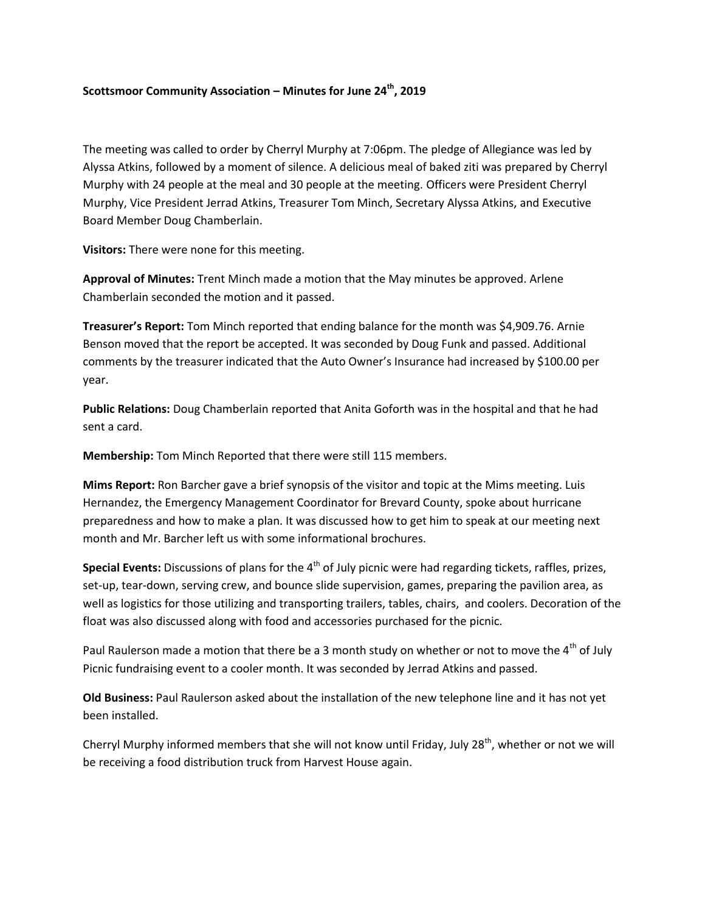## **Scottsmoor Community Association – Minutes for June 24th, 2019**

The meeting was called to order by Cherryl Murphy at 7:06pm. The pledge of Allegiance was led by Alyssa Atkins, followed by a moment of silence. A delicious meal of baked ziti was prepared by Cherryl Murphy with 24 people at the meal and 30 people at the meeting. Officers were President Cherryl Murphy, Vice President Jerrad Atkins, Treasurer Tom Minch, Secretary Alyssa Atkins, and Executive Board Member Doug Chamberlain.

**Visitors:** There were none for this meeting.

**Approval of Minutes:** Trent Minch made a motion that the May minutes be approved. Arlene Chamberlain seconded the motion and it passed.

**Treasurer's Report:** Tom Minch reported that ending balance for the month was \$4,909.76. Arnie Benson moved that the report be accepted. It was seconded by Doug Funk and passed. Additional comments by the treasurer indicated that the Auto Owner's Insurance had increased by \$100.00 per year.

**Public Relations:** Doug Chamberlain reported that Anita Goforth was in the hospital and that he had sent a card.

**Membership:** Tom Minch Reported that there were still 115 members.

**Mims Report:** Ron Barcher gave a brief synopsis of the visitor and topic at the Mims meeting. Luis Hernandez, the Emergency Management Coordinator for Brevard County, spoke about hurricane preparedness and how to make a plan. It was discussed how to get him to speak at our meeting next month and Mr. Barcher left us with some informational brochures.

**Special Events:** Discussions of plans for the 4<sup>th</sup> of July picnic were had regarding tickets, raffles, prizes, set-up, tear-down, serving crew, and bounce slide supervision, games, preparing the pavilion area, as well as logistics for those utilizing and transporting trailers, tables, chairs, and coolers. Decoration of the float was also discussed along with food and accessories purchased for the picnic.

Paul Raulerson made a motion that there be a 3 month study on whether or not to move the 4<sup>th</sup> of July Picnic fundraising event to a cooler month. It was seconded by Jerrad Atkins and passed.

**Old Business:** Paul Raulerson asked about the installation of the new telephone line and it has not yet been installed.

Cherryl Murphy informed members that she will not know until Friday, July 28<sup>th</sup>, whether or not we will be receiving a food distribution truck from Harvest House again.